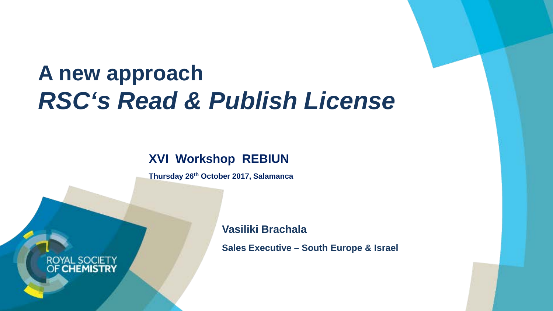# **A new approach** *RSC's Read & Publish License*

### **XVI Workshop REBIUN**

**Thursday 26th October 2017, Salamanca**

ROYAL SOC **OF CHEMISTRY**  **Vasiliki Brachala**

**Sales Executive – South Europe & Israel**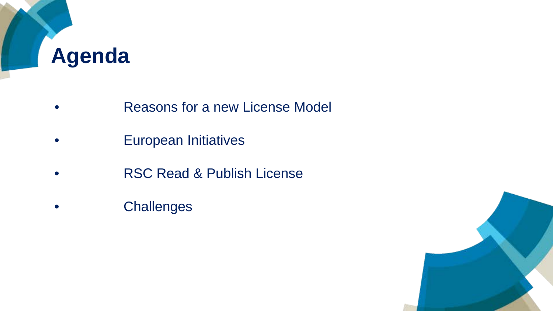

- Reasons for a new License Model
- European Initiatives
- RSC Read & Publish License
- Challenges

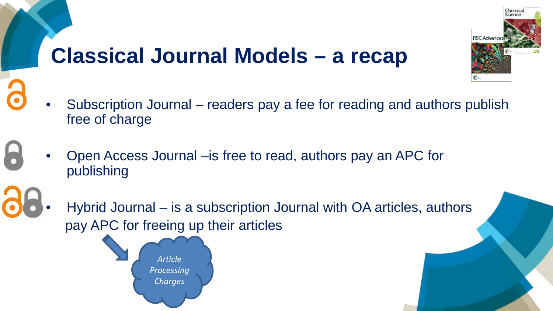# **Classical Journal Models – a recap**



- Open Access Journal –is free to read, authors pay an APC for publishing
- Hybrid Journal is a subscription Journal with OA articles, authors pay APC for freeing up their articles



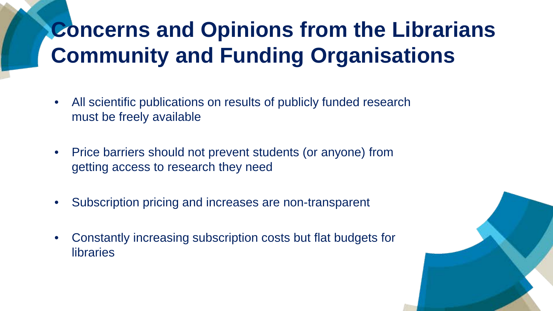# **Concerns and Opinions from the Librarians Community and Funding Organisations**

- All scientific publications on results of publicly funded research must be freely available
- Price barriers should not prevent students (or anyone) from getting access to research they need
- Subscription pricing and increases are non-transparent
- Constantly increasing subscription costs but flat budgets for libraries

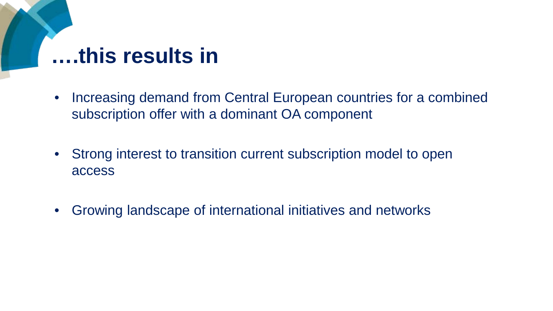## **….this results in**

- Increasing demand from Central European countries for a combined subscription offer with a dominant OA component
- Strong interest to transition current subscription model to open access
- Growing landscape of international initiatives and networks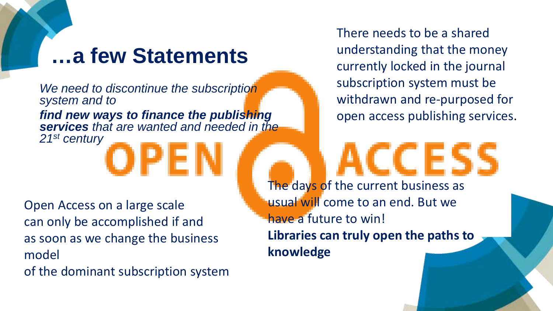### **…a few Statements**

*We need to discontinue the subscription system and to find new ways to finance the publishing services that are wanted and needed in the 21st century*

Open Access on a large scale can only be accomplished if and as soon as we change the business model

of the dominant subscription system

There needs to be a shared understanding that the money currently locked in the journal subscription system must be withdrawn and re-purposed for open access publishing services.

The days of the current business as usual will come to an end. But we have a future to win! **Libraries can truly open the paths to knowledge**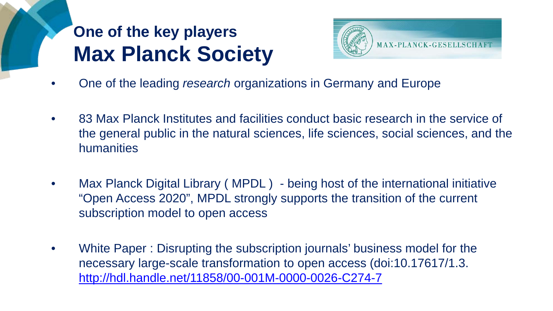## **One of the key players Max Planck Society**



- One of the leading *research* organizations in Germany and Europe
- 83 Max Planck Institutes and facilities conduct basic research in the service of the general public in the natural sciences, life sciences, social sciences, and the humanities
- Max Planck Digital Library (MPDL) being host of the international initiative "Open Access 2020", MPDL strongly supports the transition of the current subscription model to open access
- White Paper : Disrupting the subscription journals' business model for the necessary large-scale transformation to open access (doi:10.17617/1.3. <http://hdl.handle.net/11858/00-001M-0000-0026-C274-7>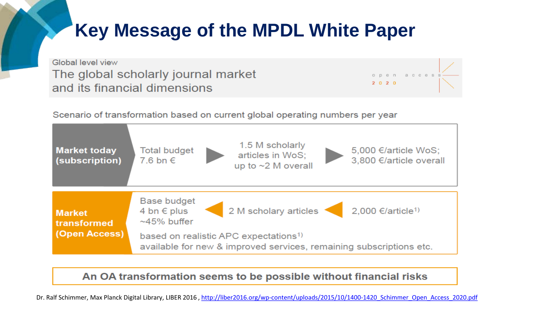### **Key Message of the MPDL White Paper**

Global level view The global scholarly journal market and its financial dimensions

2020

Scenario of transformation based on current global operating numbers per year



#### An OA transformation seems to be possible without financial risks

Dr. Ralf Schimmer, Max Planck Digital Library, LIBER 2016, http://liber2016.org/wp-content/uploads/2015/10/1400-1420 Schimmer Open Access 2020.pdf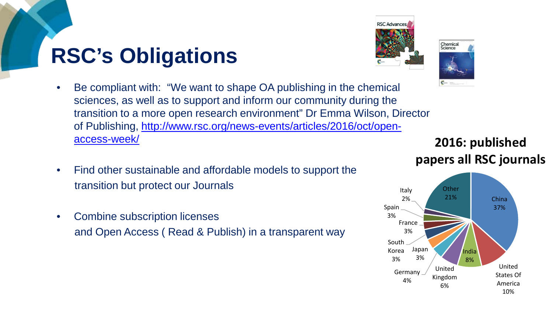# **RSC's Obligations**



- Be compliant with: "We want to shape OA publishing in the chemical sciences, as well as to support and inform our community during the transition to a more open research environment" Dr Emma Wilson, Director [of Publishing, http://www.rsc.org/news-events/articles/2016/oct/open](http://www.rsc.org/news-events/articles/2016/oct/open-access-week/)access-week/
- Find other sustainable and affordable models to support the transition but protect our Journals
- Combine subscription licenses and Open Access ( Read & Publish) in a transparent way

### **2016: published papers all RSC journals**



Chemical<br>Science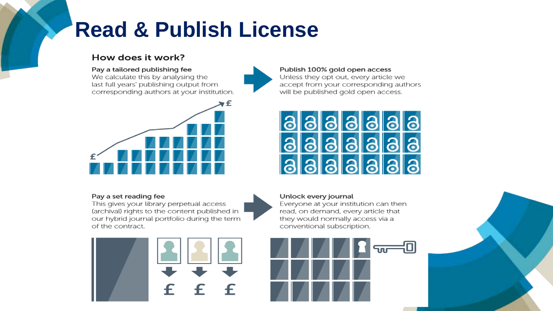# **Read & Publish License**

#### How does it work?

#### Pay a tailored publishing fee

We calculate this by analysing the last full years' publishing output from corresponding authors at your institution.



#### Pay a set reading fee

This gives your library perpetual access (archival) rights to the content published in our hybrid journal portfolio during the term of the contract.



#### Publish 100% gold open access

Unless they opt out, every article we accept from your corresponding authors will be published gold open access.



#### Unlock every journal

Everyone at your institution can then read, on demand, every article that they would normally access via a conventional subscription.

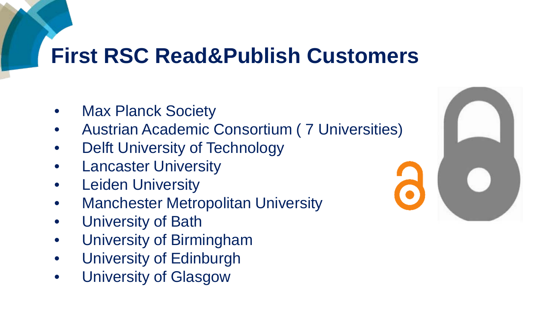# **First RSC Read&Publish Customers**

- Max Planck Society
- Austrian Academic Consortium ( 7 Universities)
- Delft University of Technology
- Lancaster University
- Leiden University
- **Manchester Metropolitan University**
- University of Bath
- University of Birmingham
- University of Edinburgh
- University of Glasgow

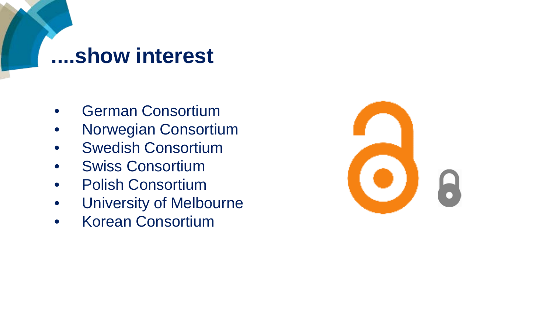### **....show interest**

- German Consortium
- Norwegian Consortium
- Swedish Consortium
- Swiss Consortium
- Polish Consortium
- University of Melbourne
- Korean Consortium

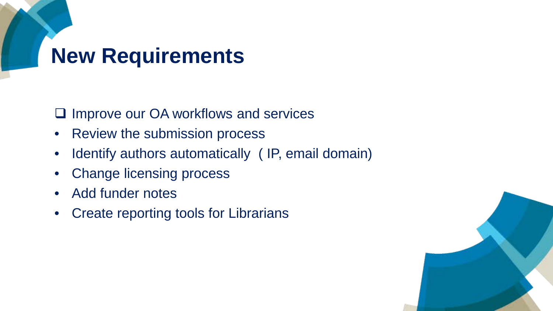# **New Requirements**

 $\Box$  Improve our OA workflows and services

- Review the submission process
- Identify authors automatically (IP, email domain)
- Change licensing process
- Add funder notes
- Create reporting tools for Librarians

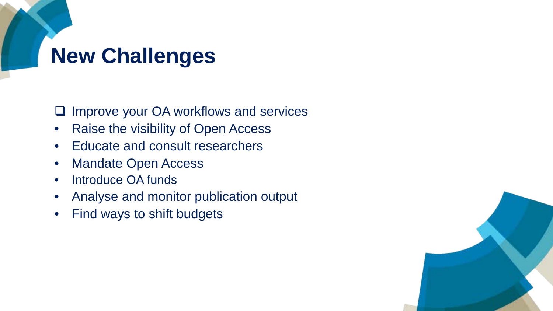# **New Challenges**

 $\Box$  Improve your OA workflows and services

- Raise the visibility of Open Access
- Educate and consult researchers
- Mandate Open Access
- Introduce OA funds
- Analyse and monitor publication output
- Find ways to shift budgets